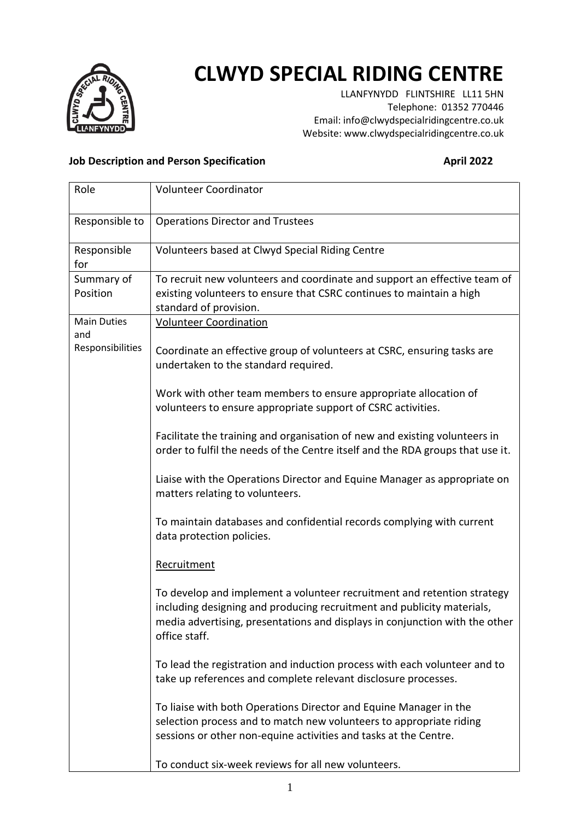

## **CLWYD SPECIAL RIDING CENTRE**

LLANFYNYDD FLINTSHIRE LL11 5HN Telephone: 01352 770446 Email: info@clwydspecialridingcentre.co.uk Website: www.clwydspecialridingcentre.co.uk

## **Job Description and Person Specification April 2022**

| Role                                          | <b>Volunteer Coordinator</b>                                                                                                                                                                                                                      |
|-----------------------------------------------|---------------------------------------------------------------------------------------------------------------------------------------------------------------------------------------------------------------------------------------------------|
| Responsible to                                | <b>Operations Director and Trustees</b>                                                                                                                                                                                                           |
| Responsible<br>for                            | Volunteers based at Clwyd Special Riding Centre                                                                                                                                                                                                   |
| Summary of<br>Position                        | To recruit new volunteers and coordinate and support an effective team of<br>existing volunteers to ensure that CSRC continues to maintain a high<br>standard of provision.                                                                       |
| <b>Main Duties</b><br>and<br>Responsibilities | <b>Volunteer Coordination</b>                                                                                                                                                                                                                     |
|                                               | Coordinate an effective group of volunteers at CSRC, ensuring tasks are<br>undertaken to the standard required.                                                                                                                                   |
|                                               | Work with other team members to ensure appropriate allocation of<br>volunteers to ensure appropriate support of CSRC activities.                                                                                                                  |
|                                               | Facilitate the training and organisation of new and existing volunteers in<br>order to fulfil the needs of the Centre itself and the RDA groups that use it.                                                                                      |
|                                               | Liaise with the Operations Director and Equine Manager as appropriate on<br>matters relating to volunteers.                                                                                                                                       |
|                                               | To maintain databases and confidential records complying with current<br>data protection policies.                                                                                                                                                |
|                                               | Recruitment                                                                                                                                                                                                                                       |
|                                               | To develop and implement a volunteer recruitment and retention strategy<br>including designing and producing recruitment and publicity materials,<br>media advertising, presentations and displays in conjunction with the other<br>office staff. |
|                                               | To lead the registration and induction process with each volunteer and to<br>take up references and complete relevant disclosure processes.                                                                                                       |
|                                               | To liaise with both Operations Director and Equine Manager in the<br>selection process and to match new volunteers to appropriate riding<br>sessions or other non-equine activities and tasks at the Centre.                                      |
|                                               | To conduct six-week reviews for all new volunteers.                                                                                                                                                                                               |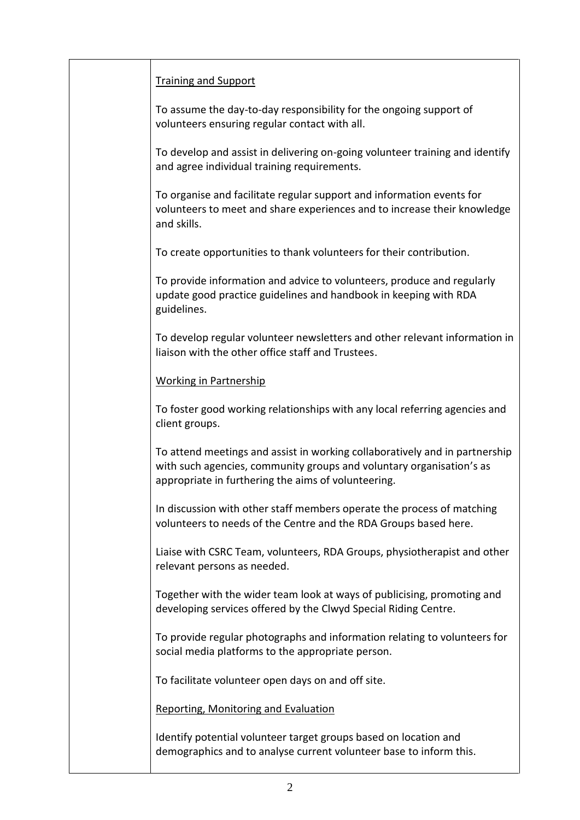| <b>Training and Support</b>                                                                                                                                                                                |
|------------------------------------------------------------------------------------------------------------------------------------------------------------------------------------------------------------|
| To assume the day-to-day responsibility for the ongoing support of<br>volunteers ensuring regular contact with all.                                                                                        |
| To develop and assist in delivering on-going volunteer training and identify<br>and agree individual training requirements.                                                                                |
| To organise and facilitate regular support and information events for<br>volunteers to meet and share experiences and to increase their knowledge<br>and skills.                                           |
| To create opportunities to thank volunteers for their contribution.                                                                                                                                        |
| To provide information and advice to volunteers, produce and regularly<br>update good practice guidelines and handbook in keeping with RDA<br>guidelines.                                                  |
| To develop regular volunteer newsletters and other relevant information in<br>liaison with the other office staff and Trustees.                                                                            |
| <b>Working in Partnership</b>                                                                                                                                                                              |
| To foster good working relationships with any local referring agencies and<br>client groups.                                                                                                               |
| To attend meetings and assist in working collaboratively and in partnership<br>with such agencies, community groups and voluntary organisation's as<br>appropriate in furthering the aims of volunteering. |
| In discussion with other staff members operate the process of matching<br>volunteers to needs of the Centre and the RDA Groups based here.                                                                 |
| Liaise with CSRC Team, volunteers, RDA Groups, physiotherapist and other<br>relevant persons as needed.                                                                                                    |
| Together with the wider team look at ways of publicising, promoting and<br>developing services offered by the Clwyd Special Riding Centre.                                                                 |
| To provide regular photographs and information relating to volunteers for<br>social media platforms to the appropriate person.                                                                             |
| To facilitate volunteer open days on and off site.                                                                                                                                                         |
| <b>Reporting, Monitoring and Evaluation</b>                                                                                                                                                                |
| Identify potential volunteer target groups based on location and<br>demographics and to analyse current volunteer base to inform this.                                                                     |